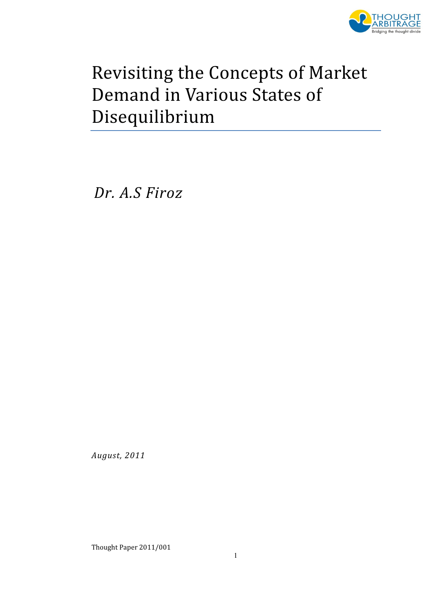

# Revisiting the Concepts of Market Demand in Various States of Disequilibrium

Dr. A.S Firoz

August, 2011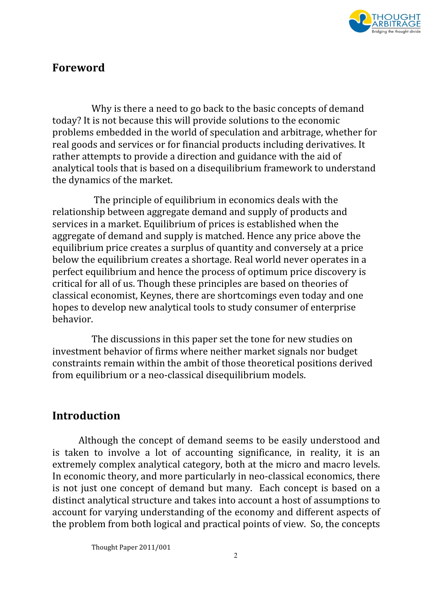

## Foreword

Why is there a need to go back to the basic concepts of demand today? It is not because this will provide solutions to the economic problems embedded in the world of speculation and arbitrage, whether for real goods and services or for financial products including derivatives. It rather attempts to provide a direction and guidance with the aid of analytical tools that is based on a disequilibrium framework to understand the dynamics of the market.

 The principle of equilibrium in economics deals with the relationship between aggregate demand and supply of products and services in a market. Equilibrium of prices is established when the aggregate of demand and supply is matched. Hence any price above the equilibrium price creates a surplus of quantity and conversely at a price below the equilibrium creates a shortage. Real world never operates in a perfect equilibrium and hence the process of optimum price discovery is critical for all of us. Though these principles are based on theories of classical economist, Keynes, there are shortcomings even today and one hopes to develop new analytical tools to study consumer of enterprise behavior.

The discussions in this paper set the tone for new studies on investment behavior of firms where neither market signals nor budget constraints remain within the ambit of those theoretical positions derived from equilibrium or a neo-classical disequilibrium models.

## Introduction

Although the concept of demand seems to be easily understood and is taken to involve a lot of accounting significance, in reality, it is an extremely complex analytical category, both at the micro and macro levels. In economic theory, and more particularly in neo-classical economics, there is not just one concept of demand but many. Each concept is based on a distinct analytical structure and takes into account a host of assumptions to account for varying understanding of the economy and different aspects of the problem from both logical and practical points of view. So, the concepts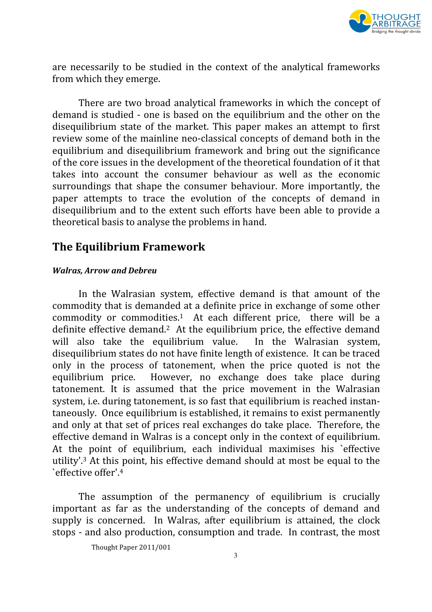

are necessarily to be studied in the context of the analytical frameworks from which they emerge.

There are two broad analytical frameworks in which the concept of demand is studied - one is based on the equilibrium and the other on the disequilibrium state of the market. This paper makes an attempt to first review some of the mainline neo-classical concepts of demand both in the equilibrium and disequilibrium framework and bring out the significance of the core issues in the development of the theoretical foundation of it that takes into account the consumer behaviour as well as the economic surroundings that shape the consumer behaviour. More importantly, the paper attempts to trace the evolution of the concepts of demand in disequilibrium and to the extent such efforts have been able to provide a theoretical basis to analyse the problems in hand.

## The Equilibrium Framework

#### Walras, Arrow and Debreu

In the Walrasian system, effective demand is that amount of the commodity that is demanded at a definite price in exchange of some other commodity or commodities.<sup>1</sup> At each different price, there will be a definite effective demand.<sup>2</sup> At the equilibrium price, the effective demand will also take the equilibrium value. In the Walrasian system, disequilibrium states do not have finite length of existence. It can be traced only in the process of tatonement, when the price quoted is not the equilibrium price. However, no exchange does take place during tatonement. It is assumed that the price movement in the Walrasian system, i.e. during tatonement, is so fast that equilibrium is reached instantaneously. Once equilibrium is established, it remains to exist permanently and only at that set of prices real exchanges do take place. Therefore, the effective demand in Walras is a concept only in the context of equilibrium. At the point of equilibrium, each individual maximises his `effective utility'.<sup>3</sup> At this point, his effective demand should at most be equal to the `effective offer'.<sup>4</sup>

The assumption of the permanency of equilibrium is crucially important as far as the understanding of the concepts of demand and supply is concerned. In Walras, after equilibrium is attained, the clock stops - and also production, consumption and trade. In contrast, the most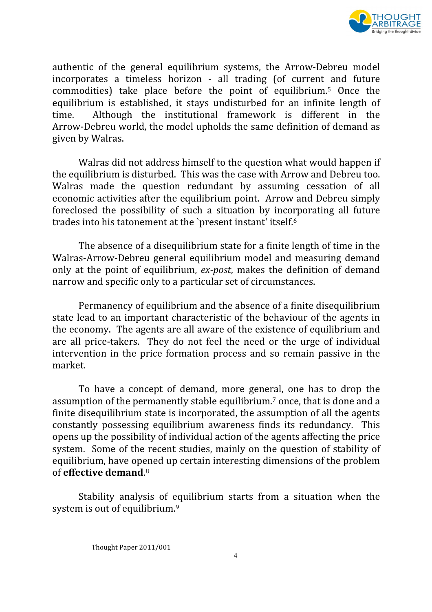

authentic of the general equilibrium systems, the Arrow-Debreu model incorporates a timeless horizon - all trading (of current and future commodities) take place before the point of equilibrium.<sup>5</sup> Once the equilibrium is established, it stays undisturbed for an infinite length of time. Although the institutional framework is different in the Arrow-Debreu world, the model upholds the same definition of demand as given by Walras.

Walras did not address himself to the question what would happen if the equilibrium is disturbed. This was the case with Arrow and Debreu too. Walras made the question redundant by assuming cessation of all economic activities after the equilibrium point. Arrow and Debreu simply foreclosed the possibility of such a situation by incorporating all future trades into his tatonement at the `present instant' itself.<sup>6</sup>

The absence of a disequilibrium state for a finite length of time in the Walras-Arrow-Debreu general equilibrium model and measuring demand only at the point of equilibrium, ex-post, makes the definition of demand narrow and specific only to a particular set of circumstances.

Permanency of equilibrium and the absence of a finite disequilibrium state lead to an important characteristic of the behaviour of the agents in the economy. The agents are all aware of the existence of equilibrium and are all price-takers. They do not feel the need or the urge of individual intervention in the price formation process and so remain passive in the market.

To have a concept of demand, more general, one has to drop the assumption of the permanently stable equilibrium.<sup>7</sup> once, that is done and a finite disequilibrium state is incorporated, the assumption of all the agents constantly possessing equilibrium awareness finds its redundancy. This opens up the possibility of individual action of the agents affecting the price system. Some of the recent studies, mainly on the question of stability of equilibrium, have opened up certain interesting dimensions of the problem of **effective demand**.<sup>8</sup>

Stability analysis of equilibrium starts from a situation when the system is out of equilibrium.<sup>9</sup>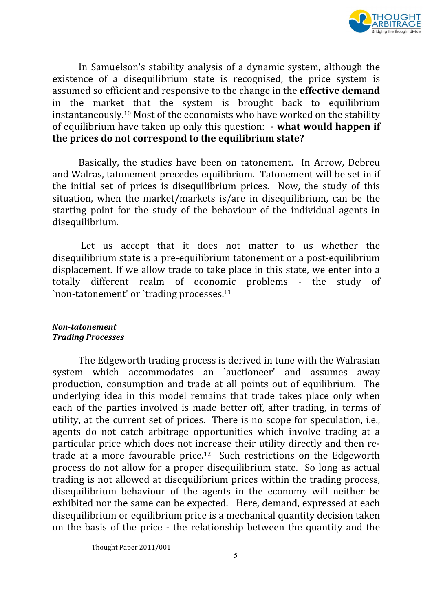

In Samuelson's stability analysis of a dynamic system, although the existence of a disequilibrium state is recognised, the price system is assumed so efficient and responsive to the change in the effective demand in the market that the system is brought back to equilibrium instantaneously.<sup>10</sup> Most of the economists who have worked on the stability of equilibrium have taken up only this question: - what would happen if the prices do not correspond to the equilibrium state?

Basically, the studies have been on tatonement. In Arrow, Debreu and Walras, tatonement precedes equilibrium. Tatonement will be set in if the initial set of prices is disequilibrium prices. Now, the study of this situation, when the market/markets is/are in disequilibrium, can be the starting point for the study of the behaviour of the individual agents in disequilibrium.

 Let us accept that it does not matter to us whether the disequilibrium state is a pre-equilibrium tatonement or a post-equilibrium displacement. If we allow trade to take place in this state, we enter into a totally different realm of economic problems - the study of `non-tatonement' or `trading processes.<sup>11</sup>

#### Non-tatonement Trading Processes

The Edgeworth trading process is derived in tune with the Walrasian system which accommodates an `auctioneer' and assumes away production, consumption and trade at all points out of equilibrium. The underlying idea in this model remains that trade takes place only when each of the parties involved is made better off, after trading, in terms of utility, at the current set of prices. There is no scope for speculation, i.e., agents do not catch arbitrage opportunities which involve trading at a particular price which does not increase their utility directly and then retrade at a more favourable price.<sup>12</sup> Such restrictions on the Edgeworth process do not allow for a proper disequilibrium state. So long as actual trading is not allowed at disequilibrium prices within the trading process, disequilibrium behaviour of the agents in the economy will neither be exhibited nor the same can be expected. Here, demand, expressed at each disequilibrium or equilibrium price is a mechanical quantity decision taken on the basis of the price - the relationship between the quantity and the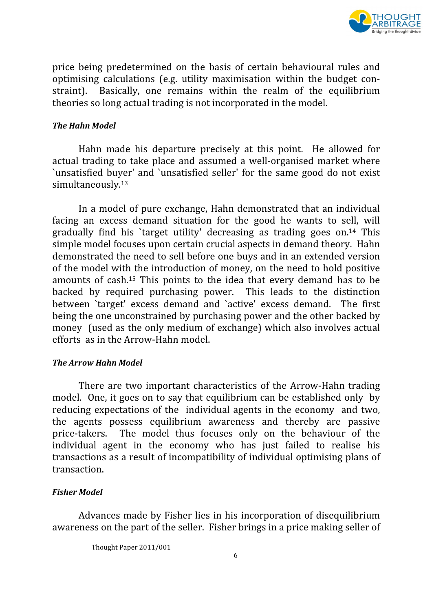

price being predetermined on the basis of certain behavioural rules and optimising calculations (e.g. utility maximisation within the budget constraint). Basically, one remains within the realm of the equilibrium theories so long actual trading is not incorporated in the model.

#### The Hahn Model

Hahn made his departure precisely at this point. He allowed for actual trading to take place and assumed a well-organised market where `unsatisfied buyer' and `unsatisfied seller' for the same good do not exist simultaneously.<sup>13</sup>

In a model of pure exchange, Hahn demonstrated that an individual facing an excess demand situation for the good he wants to sell, will gradually find his `target utility' decreasing as trading goes on.<sup>14</sup> This simple model focuses upon certain crucial aspects in demand theory. Hahn demonstrated the need to sell before one buys and in an extended version of the model with the introduction of money, on the need to hold positive amounts of cash.<sup>15</sup> This points to the idea that every demand has to be backed by required purchasing power. This leads to the distinction between `target' excess demand and `active' excess demand. The first being the one unconstrained by purchasing power and the other backed by money (used as the only medium of exchange) which also involves actual efforts as in the Arrow-Hahn model.

#### The Arrow Hahn Model

There are two important characteristics of the Arrow-Hahn trading model. One, it goes on to say that equilibrium can be established only by reducing expectations of the individual agents in the economy and two, the agents possess equilibrium awareness and thereby are passive price-takers. The model thus focuses only on the behaviour of the individual agent in the economy who has just failed to realise his transactions as a result of incompatibility of individual optimising plans of transaction.

### Fisher Model

Advances made by Fisher lies in his incorporation of disequilibrium awareness on the part of the seller. Fisher brings in a price making seller of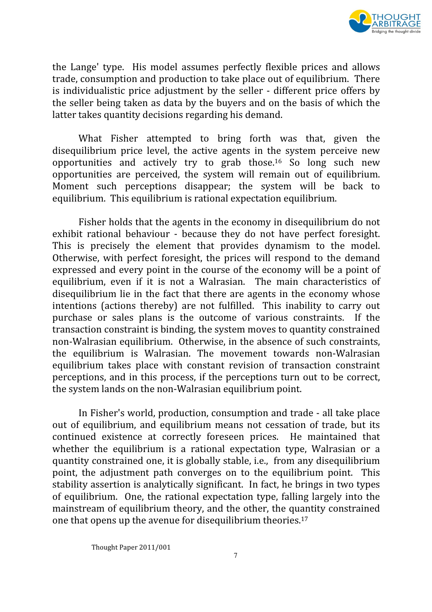

the Lange' type. His model assumes perfectly flexible prices and allows trade, consumption and production to take place out of equilibrium. There is individualistic price adjustment by the seller - different price offers by the seller being taken as data by the buyers and on the basis of which the latter takes quantity decisions regarding his demand.

What Fisher attempted to bring forth was that, given the disequilibrium price level, the active agents in the system perceive new opportunities and actively try to grab those.<sup>16</sup> So long such new opportunities are perceived, the system will remain out of equilibrium. Moment such perceptions disappear; the system will be back to equilibrium. This equilibrium is rational expectation equilibrium.

Fisher holds that the agents in the economy in disequilibrium do not exhibit rational behaviour - because they do not have perfect foresight. This is precisely the element that provides dynamism to the model. Otherwise, with perfect foresight, the prices will respond to the demand expressed and every point in the course of the economy will be a point of equilibrium, even if it is not a Walrasian. The main characteristics of disequilibrium lie in the fact that there are agents in the economy whose intentions (actions thereby) are not fulfilled. This inability to carry out purchase or sales plans is the outcome of various constraints. If the transaction constraint is binding, the system moves to quantity constrained non-Walrasian equilibrium. Otherwise, in the absence of such constraints, the equilibrium is Walrasian. The movement towards non-Walrasian equilibrium takes place with constant revision of transaction constraint perceptions, and in this process, if the perceptions turn out to be correct, the system lands on the non-Walrasian equilibrium point.

In Fisher's world, production, consumption and trade - all take place out of equilibrium, and equilibrium means not cessation of trade, but its continued existence at correctly foreseen prices. He maintained that whether the equilibrium is a rational expectation type, Walrasian or a quantity constrained one, it is globally stable, i.e., from any disequilibrium point, the adjustment path converges on to the equilibrium point. This stability assertion is analytically significant. In fact, he brings in two types of equilibrium. One, the rational expectation type, falling largely into the mainstream of equilibrium theory, and the other, the quantity constrained one that opens up the avenue for disequilibrium theories.<sup>17</sup>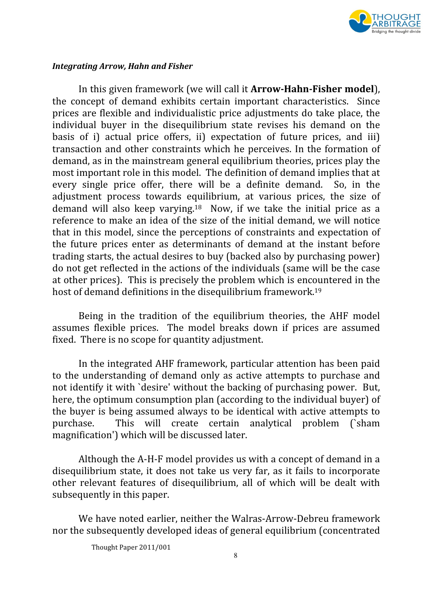

#### Integrating Arrow, Hahn and Fisher

In this given framework (we will call it Arrow-Hahn-Fisher model), the concept of demand exhibits certain important characteristics. Since prices are flexible and individualistic price adjustments do take place, the individual buyer in the disequilibrium state revises his demand on the basis of i) actual price offers, ii) expectation of future prices, and iii) transaction and other constraints which he perceives. In the formation of demand, as in the mainstream general equilibrium theories, prices play the most important role in this model. The definition of demand implies that at every single price offer, there will be a definite demand. So, in the adjustment process towards equilibrium, at various prices, the size of demand will also keep varying.<sup>18</sup> Now, if we take the initial price as a reference to make an idea of the size of the initial demand, we will notice that in this model, since the perceptions of constraints and expectation of the future prices enter as determinants of demand at the instant before trading starts, the actual desires to buy (backed also by purchasing power) do not get reflected in the actions of the individuals (same will be the case at other prices). This is precisely the problem which is encountered in the host of demand definitions in the disequilibrium framework.<sup>19</sup>

Being in the tradition of the equilibrium theories, the AHF model assumes flexible prices. The model breaks down if prices are assumed fixed. There is no scope for quantity adjustment.

In the integrated AHF framework, particular attention has been paid to the understanding of demand only as active attempts to purchase and not identify it with `desire' without the backing of purchasing power. But, here, the optimum consumption plan (according to the individual buyer) of the buyer is being assumed always to be identical with active attempts to purchase. This will create certain analytical problem (`sham magnification') which will be discussed later.

Although the A-H-F model provides us with a concept of demand in a disequilibrium state, it does not take us very far, as it fails to incorporate other relevant features of disequilibrium, all of which will be dealt with subsequently in this paper.

We have noted earlier, neither the Walras-Arrow-Debreu framework nor the subsequently developed ideas of general equilibrium (concentrated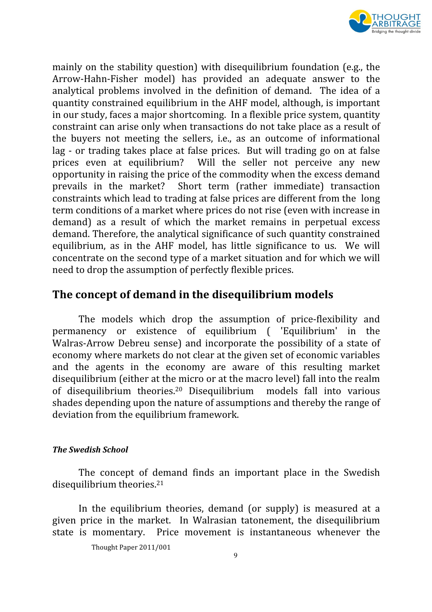

mainly on the stability question) with disequilibrium foundation (e.g., the Arrow-Hahn-Fisher model) has provided an adequate answer to the analytical problems involved in the definition of demand. The idea of a quantity constrained equilibrium in the AHF model, although, is important in our study, faces a major shortcoming. In a flexible price system, quantity constraint can arise only when transactions do not take place as a result of the buyers not meeting the sellers, i.e., as an outcome of informational lag - or trading takes place at false prices. But will trading go on at false prices even at equilibrium? Will the seller not perceive any new opportunity in raising the price of the commodity when the excess demand prevails in the market? Short term (rather immediate) transaction constraints which lead to trading at false prices are different from the long term conditions of a market where prices do not rise (even with increase in demand) as a result of which the market remains in perpetual excess demand. Therefore, the analytical significance of such quantity constrained equilibrium, as in the AHF model, has little significance to us. We will concentrate on the second type of a market situation and for which we will need to drop the assumption of perfectly flexible prices.

## The concept of demand in the disequilibrium models

The models which drop the assumption of price-flexibility and permanency or existence of equilibrium ( 'Equilibrium' in the Walras-Arrow Debreu sense) and incorporate the possibility of a state of economy where markets do not clear at the given set of economic variables and the agents in the economy are aware of this resulting market disequilibrium (either at the micro or at the macro level) fall into the realm of disequilibrium theories.<sup>20</sup> Disequilibrium models fall into various shades depending upon the nature of assumptions and thereby the range of deviation from the equilibrium framework.

### The Swedish School

The concept of demand finds an important place in the Swedish disequilibrium theories. $21$ 

In the equilibrium theories, demand (or supply) is measured at a given price in the market. In Walrasian tatonement, the disequilibrium state is momentary. Price movement is instantaneous whenever the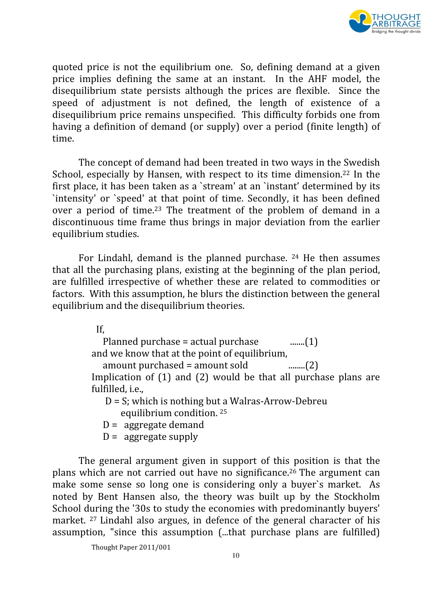

quoted price is not the equilibrium one. So, defining demand at a given price implies defining the same at an instant. In the AHF model, the disequilibrium state persists although the prices are flexible. Since the speed of adjustment is not defined, the length of existence of a disequilibrium price remains unspecified. This difficulty forbids one from having a definition of demand (or supply) over a period (finite length) of time.

The concept of demand had been treated in two ways in the Swedish School, especially by Hansen, with respect to its time dimension.<sup>22</sup> In the first place, it has been taken as a `stream' at an `instant' determined by its `intensity' or `speed' at that point of time. Secondly, it has been defined over a period of time.<sup>23</sup> The treatment of the problem of demand in a discontinuous time frame thus brings in major deviation from the earlier equilibrium studies.

For Lindahl, demand is the planned purchase. <sup>24</sup> He then assumes that all the purchasing plans, existing at the beginning of the plan period, are fulfilled irrespective of whether these are related to commodities or factors. With this assumption, he blurs the distinction between the general equilibrium and the disequilibrium theories.

If,

Planned purchase = actual purchase  $\qquad \qquad$ ........(1) and we know that at the point of equilibrium,

amount purchased = amount sold ........(2)

Implication of (1) and (2) would be that all purchase plans are fulfilled, i.e.,

 D = S; which is nothing but a Walras-Arrow-Debreu equilibrium condition. <sup>25</sup>

 $D =$  aggregate demand

 $D =$  aggregate supply

The general argument given in support of this position is that the plans which are not carried out have no significance.<sup>26</sup> The argument can make some sense so long one is considering only a buyer`s market. As noted by Bent Hansen also, the theory was built up by the Stockholm School during the '30s to study the economies with predominantly buyers' market. <sup>27</sup> Lindahl also argues, in defence of the general character of his assumption, "since this assumption (...that purchase plans are fulfilled)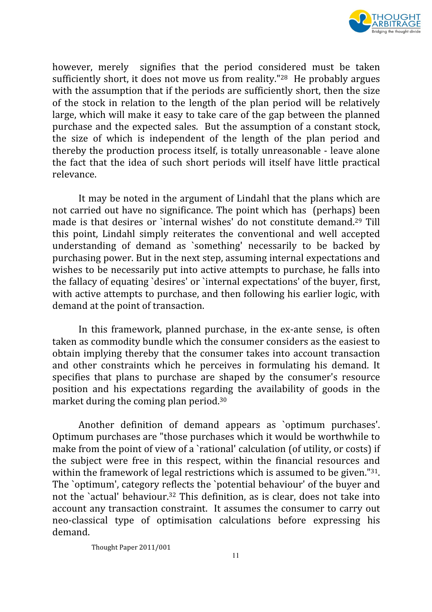

however, merely signifies that the period considered must be taken sufficiently short, it does not move us from reality."<sup>28</sup> He probably argues with the assumption that if the periods are sufficiently short, then the size of the stock in relation to the length of the plan period will be relatively large, which will make it easy to take care of the gap between the planned purchase and the expected sales. But the assumption of a constant stock, the size of which is independent of the length of the plan period and thereby the production process itself, is totally unreasonable - leave alone the fact that the idea of such short periods will itself have little practical relevance.

It may be noted in the argument of Lindahl that the plans which are not carried out have no significance. The point which has (perhaps) been made is that desires or `internal wishes' do not constitute demand.<sup>29</sup> Till this point, Lindahl simply reiterates the conventional and well accepted understanding of demand as `something' necessarily to be backed by purchasing power. But in the next step, assuming internal expectations and wishes to be necessarily put into active attempts to purchase, he falls into the fallacy of equating `desires' or `internal expectations' of the buyer, first, with active attempts to purchase, and then following his earlier logic, with demand at the point of transaction.

In this framework, planned purchase, in the ex-ante sense, is often taken as commodity bundle which the consumer considers as the easiest to obtain implying thereby that the consumer takes into account transaction and other constraints which he perceives in formulating his demand. It specifies that plans to purchase are shaped by the consumer's resource position and his expectations regarding the availability of goods in the market during the coming plan period.<sup>30</sup>

Another definition of demand appears as `optimum purchases'. Optimum purchases are "those purchases which it would be worthwhile to make from the point of view of a `rational' calculation (of utility, or costs) if the subject were free in this respect, within the financial resources and within the framework of legal restrictions which is assumed to be given."<sup>31</sup>. The `optimum', category reflects the `potential behaviour' of the buyer and not the `actual' behaviour.<sup>32</sup> This definition, as is clear, does not take into account any transaction constraint. It assumes the consumer to carry out neo-classical type of optimisation calculations before expressing his demand.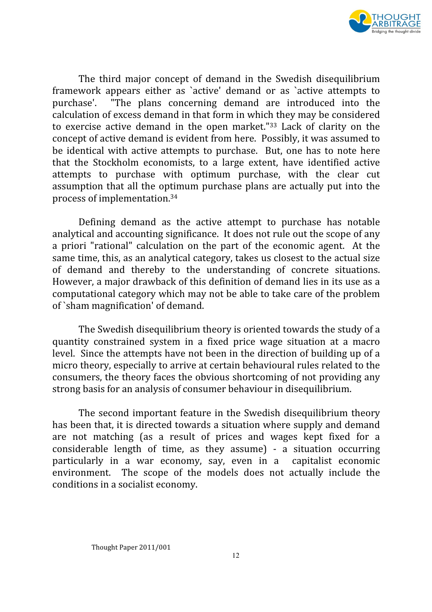

The third major concept of demand in the Swedish disequilibrium framework appears either as `active' demand or as `active attempts to purchase'. "The plans concerning demand are introduced into the calculation of excess demand in that form in which they may be considered to exercise active demand in the open market."<sup>33</sup> Lack of clarity on the concept of active demand is evident from here. Possibly, it was assumed to be identical with active attempts to purchase. But, one has to note here that the Stockholm economists, to a large extent, have identified active attempts to purchase with optimum purchase, with the clear cut assumption that all the optimum purchase plans are actually put into the process of implementation.<sup>34</sup>

Defining demand as the active attempt to purchase has notable analytical and accounting significance. It does not rule out the scope of any a priori "rational" calculation on the part of the economic agent. At the same time, this, as an analytical category, takes us closest to the actual size of demand and thereby to the understanding of concrete situations. However, a major drawback of this definition of demand lies in its use as a computational category which may not be able to take care of the problem of `sham magnification' of demand.

The Swedish disequilibrium theory is oriented towards the study of a quantity constrained system in a fixed price wage situation at a macro level. Since the attempts have not been in the direction of building up of a micro theory, especially to arrive at certain behavioural rules related to the consumers, the theory faces the obvious shortcoming of not providing any strong basis for an analysis of consumer behaviour in disequilibrium.

The second important feature in the Swedish disequilibrium theory has been that, it is directed towards a situation where supply and demand are not matching (as a result of prices and wages kept fixed for a considerable length of time, as they assume) - a situation occurring particularly in a war economy, say, even in a capitalist economic environment. The scope of the models does not actually include the conditions in a socialist economy.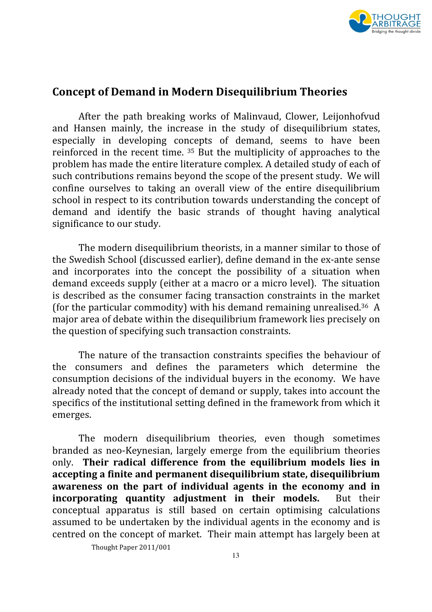

## Concept of Demand in Modern Disequilibrium Theories

After the path breaking works of Malinvaud, Clower, Leijonhofvud and Hansen mainly, the increase in the study of disequilibrium states, especially in developing concepts of demand, seems to have been reinforced in the recent time. <sup>35</sup> But the multiplicity of approaches to the problem has made the entire literature complex. A detailed study of each of such contributions remains beyond the scope of the present study. We will confine ourselves to taking an overall view of the entire disequilibrium school in respect to its contribution towards understanding the concept of demand and identify the basic strands of thought having analytical significance to our study.

The modern disequilibrium theorists, in a manner similar to those of the Swedish School (discussed earlier), define demand in the ex-ante sense and incorporates into the concept the possibility of a situation when demand exceeds supply (either at a macro or a micro level). The situation is described as the consumer facing transaction constraints in the market (for the particular commodity) with his demand remaining unrealised.<sup>36</sup> A major area of debate within the disequilibrium framework lies precisely on the question of specifying such transaction constraints.

The nature of the transaction constraints specifies the behaviour of the consumers and defines the parameters which determine the consumption decisions of the individual buyers in the economy. We have already noted that the concept of demand or supply, takes into account the specifics of the institutional setting defined in the framework from which it emerges.

The modern disequilibrium theories, even though sometimes branded as neo-Keynesian, largely emerge from the equilibrium theories only. Their radical difference from the equilibrium models lies in accepting a finite and permanent disequilibrium state, disequilibrium awareness on the part of individual agents in the economy and in incorporating quantity adjustment in their models. But their conceptual apparatus is still based on certain optimising calculations assumed to be undertaken by the individual agents in the economy and is centred on the concept of market. Their main attempt has largely been at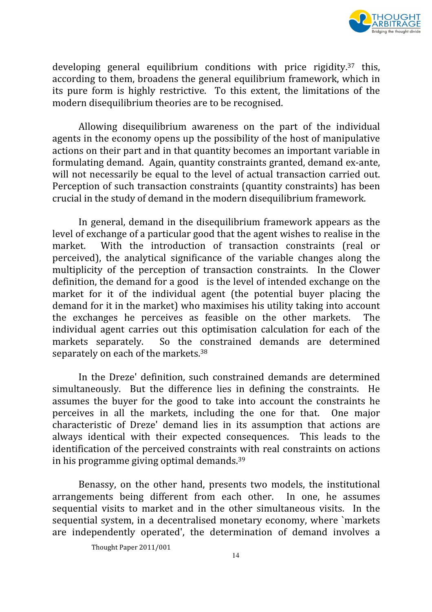

developing general equilibrium conditions with price rigidity.<sup>37</sup> this, according to them, broadens the general equilibrium framework, which in its pure form is highly restrictive. To this extent, the limitations of the modern disequilibrium theories are to be recognised.

Allowing disequilibrium awareness on the part of the individual agents in the economy opens up the possibility of the host of manipulative actions on their part and in that quantity becomes an important variable in formulating demand. Again, quantity constraints granted, demand ex-ante, will not necessarily be equal to the level of actual transaction carried out. Perception of such transaction constraints (quantity constraints) has been crucial in the study of demand in the modern disequilibrium framework.

In general, demand in the disequilibrium framework appears as the level of exchange of a particular good that the agent wishes to realise in the market. With the introduction of transaction constraints (real or perceived), the analytical significance of the variable changes along the multiplicity of the perception of transaction constraints. In the Clower definition, the demand for a good is the level of intended exchange on the market for it of the individual agent (the potential buyer placing the demand for it in the market) who maximises his utility taking into account the exchanges he perceives as feasible on the other markets. The individual agent carries out this optimisation calculation for each of the markets separately. So the constrained demands are determined separately on each of the markets.<sup>38</sup>

In the Dreze' definition, such constrained demands are determined simultaneously. But the difference lies in defining the constraints. He assumes the buyer for the good to take into account the constraints he perceives in all the markets, including the one for that. One major characteristic of Dreze' demand lies in its assumption that actions are always identical with their expected consequences. This leads to the identification of the perceived constraints with real constraints on actions in his programme giving optimal demands.<sup>39</sup>

Benassy, on the other hand, presents two models, the institutional arrangements being different from each other. In one, he assumes sequential visits to market and in the other simultaneous visits. In the sequential system, in a decentralised monetary economy, where `markets are independently operated', the determination of demand involves a

Thought Paper 2011/001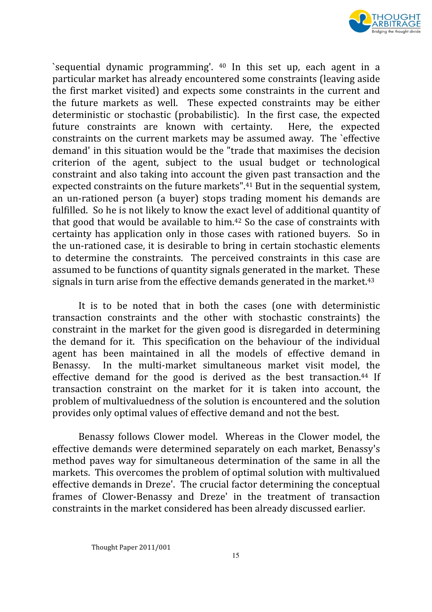

`sequential dynamic programming'. <sup>40</sup> In this set up, each agent in a particular market has already encountered some constraints (leaving aside the first market visited) and expects some constraints in the current and the future markets as well. These expected constraints may be either deterministic or stochastic (probabilistic). In the first case, the expected future constraints are known with certainty. Here, the expected constraints on the current markets may be assumed away. The `effective demand' in this situation would be the "trade that maximises the decision criterion of the agent, subject to the usual budget or technological constraint and also taking into account the given past transaction and the expected constraints on the future markets".<sup>41</sup> But in the sequential system, an un-rationed person (a buyer) stops trading moment his demands are fulfilled. So he is not likely to know the exact level of additional quantity of that good that would be available to him.<sup>42</sup> So the case of constraints with certainty has application only in those cases with rationed buyers. So in the un-rationed case, it is desirable to bring in certain stochastic elements to determine the constraints. The perceived constraints in this case are assumed to be functions of quantity signals generated in the market. These signals in turn arise from the effective demands generated in the market.<sup>43</sup>

It is to be noted that in both the cases (one with deterministic transaction constraints and the other with stochastic constraints) the constraint in the market for the given good is disregarded in determining the demand for it. This specification on the behaviour of the individual agent has been maintained in all the models of effective demand in Benassy. In the multi-market simultaneous market visit model, the effective demand for the good is derived as the best transaction.<sup>44</sup> If transaction constraint on the market for it is taken into account, the problem of multivaluedness of the solution is encountered and the solution provides only optimal values of effective demand and not the best.

Benassy follows Clower model. Whereas in the Clower model, the effective demands were determined separately on each market, Benassy's method paves way for simultaneous determination of the same in all the markets. This overcomes the problem of optimal solution with multivalued effective demands in Dreze'. The crucial factor determining the conceptual frames of Clower-Benassy and Dreze' in the treatment of transaction constraints in the market considered has been already discussed earlier.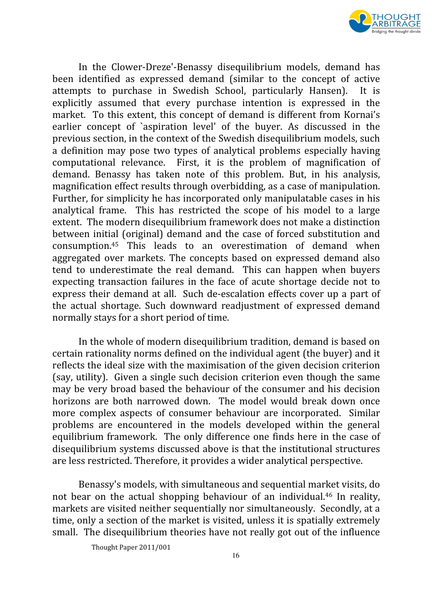

In the Clower-Dreze'-Benassy disequilibrium models, demand has been identified as expressed demand (similar to the concept of active attempts to purchase in Swedish School, particularly Hansen). It is explicitly assumed that every purchase intention is expressed in the market. To this extent, this concept of demand is different from Kornai's earlier concept of `aspiration level' of the buyer. As discussed in the previous section, in the context of the Swedish disequilibrium models, such a definition may pose two types of analytical problems especially having computational relevance. First, it is the problem of magnification of demand. Benassy has taken note of this problem. But, in his analysis, magnification effect results through overbidding, as a case of manipulation. Further, for simplicity he has incorporated only manipulatable cases in his analytical frame. This has restricted the scope of his model to a large extent. The modern disequilibrium framework does not make a distinction between initial (original) demand and the case of forced substitution and consumption.<sup>45</sup> This leads to an overestimation of demand when aggregated over markets. The concepts based on expressed demand also tend to underestimate the real demand. This can happen when buyers expecting transaction failures in the face of acute shortage decide not to express their demand at all. Such de-escalation effects cover up a part of the actual shortage. Such downward readjustment of expressed demand normally stays for a short period of time.

In the whole of modern disequilibrium tradition, demand is based on certain rationality norms defined on the individual agent (the buyer) and it reflects the ideal size with the maximisation of the given decision criterion (say, utility). Given a single such decision criterion even though the same may be very broad based the behaviour of the consumer and his decision horizons are both narrowed down. The model would break down once more complex aspects of consumer behaviour are incorporated. Similar problems are encountered in the models developed within the general equilibrium framework. The only difference one finds here in the case of disequilibrium systems discussed above is that the institutional structures are less restricted. Therefore, it provides a wider analytical perspective.

Benassy's models, with simultaneous and sequential market visits, do not bear on the actual shopping behaviour of an individual.<sup>46</sup> In reality, markets are visited neither sequentially nor simultaneously. Secondly, at a time, only a section of the market is visited, unless it is spatially extremely small. The disequilibrium theories have not really got out of the influence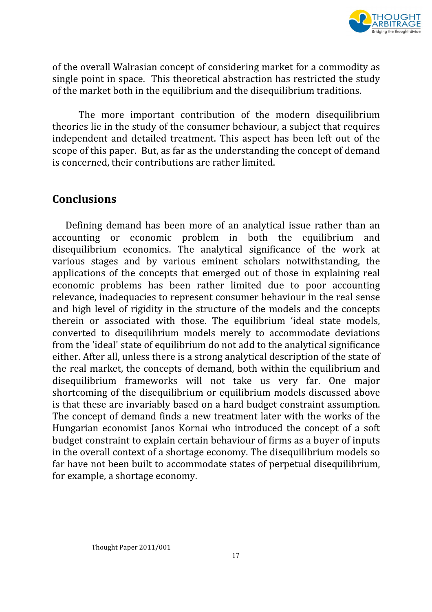

of the overall Walrasian concept of considering market for a commodity as single point in space. This theoretical abstraction has restricted the study of the market both in the equilibrium and the disequilibrium traditions.

The more important contribution of the modern disequilibrium theories lie in the study of the consumer behaviour, a subject that requires independent and detailed treatment. This aspect has been left out of the scope of this paper. But, as far as the understanding the concept of demand is concerned, their contributions are rather limited.

## Conclusions

Defining demand has been more of an analytical issue rather than an accounting or economic problem in both the equilibrium and disequilibrium economics. The analytical significance of the work at various stages and by various eminent scholars notwithstanding, the applications of the concepts that emerged out of those in explaining real economic problems has been rather limited due to poor accounting relevance, inadequacies to represent consumer behaviour in the real sense and high level of rigidity in the structure of the models and the concepts therein or associated with those. The equilibrium 'ideal state models, converted to disequilibrium models merely to accommodate deviations from the 'ideal' state of equilibrium do not add to the analytical significance either. After all, unless there is a strong analytical description of the state of the real market, the concepts of demand, both within the equilibrium and disequilibrium frameworks will not take us very far. One major shortcoming of the disequilibrium or equilibrium models discussed above is that these are invariably based on a hard budget constraint assumption. The concept of demand finds a new treatment later with the works of the Hungarian economist Janos Kornai who introduced the concept of a soft budget constraint to explain certain behaviour of firms as a buyer of inputs in the overall context of a shortage economy. The disequilibrium models so far have not been built to accommodate states of perpetual disequilibrium, for example, a shortage economy.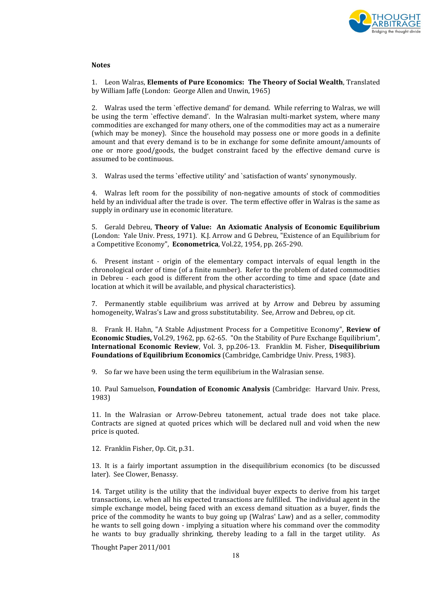

#### Notes

1. Leon Walras, Elements of Pure Economics: The Theory of Social Wealth, Translated by William Jaffe (London: George Allen and Unwin, 1965)

2. Walras used the term `effective demand' for demand. While referring to Walras, we will be using the term `effective demand'. In the Walrasian multi-market system, where many commodities are exchanged for many others, one of the commodities may act as a numeraire (which may be money). Since the household may possess one or more goods in a definite amount and that every demand is to be in exchange for some definite amount/amounts of one or more good/goods, the budget constraint faced by the effective demand curve is assumed to be continuous.

3. Walras used the terms `effective utility' and `satisfaction of wants' synonymously.

4. Walras left room for the possibility of non-negative amounts of stock of commodities held by an individual after the trade is over. The term effective offer in Walras is the same as supply in ordinary use in economic literature.

5. Gerald Debreu, Theory of Value: An Axiomatic Analysis of Economic Equilibrium (London: Yale Univ. Press, 1971). K.J. Arrow and G Debreu, "Existence of an Equilibrium for a Competitive Economy", Econometrica, Vol.22, 1954, pp. 265-290.

6. Present instant - origin of the elementary compact intervals of equal length in the chronological order of time (of a finite number). Refer to the problem of dated commodities in Debreu - each good is different from the other according to time and space (date and location at which it will be available, and physical characteristics).

7. Permanently stable equilibrium was arrived at by Arrow and Debreu by assuming homogeneity, Walras's Law and gross substitutability. See, Arrow and Debreu, op cit.

8. Frank H. Hahn, "A Stable Adjustment Process for a Competitive Economy", Review of Economic Studies, Vol.29, 1962, pp. 62-65. "On the Stability of Pure Exchange Equilibrium", International Economic Review, Vol. 3, pp.206-13. Franklin M. Fisher, Disequilibrium Foundations of Equilibrium Economics (Cambridge, Cambridge Univ. Press, 1983).

9. So far we have been using the term equilibrium in the Walrasian sense.

10. Paul Samuelson, Foundation of Economic Analysis (Cambridge: Harvard Univ. Press, 1983)

11. In the Walrasian or Arrow-Debreu tatonement, actual trade does not take place. Contracts are signed at quoted prices which will be declared null and void when the new price is quoted.

12. Franklin Fisher, Op. Cit, p.31.

13. It is a fairly important assumption in the disequilibrium economics (to be discussed later). See Clower, Benassy.

14. Target utility is the utility that the individual buyer expects to derive from his target transactions, i.e. when all his expected transactions are fulfilled. The individual agent in the simple exchange model, being faced with an excess demand situation as a buyer, finds the price of the commodity he wants to buy going up (Walras' Law) and as a seller, commodity he wants to sell going down - implying a situation where his command over the commodity he wants to buy gradually shrinking, thereby leading to a fall in the target utility. As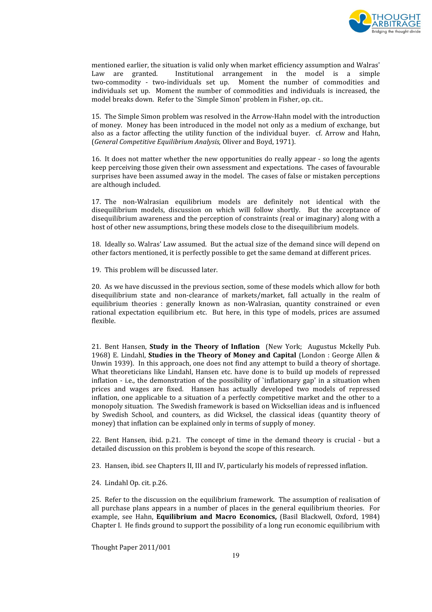

mentioned earlier, the situation is valid only when market efficiency assumption and Walras' Law are granted. Institutional arrangement in the model is a simple two-commodity - two-individuals set up. Moment the number of commodities and individuals set up. Moment the number of commodities and individuals is increased, the model breaks down. Refer to the `Simple Simon' problem in Fisher, op. cit..

15. The Simple Simon problem was resolved in the Arrow-Hahn model with the introduction of money. Money has been introduced in the model not only as a medium of exchange, but also as a factor affecting the utility function of the individual buyer. cf. Arrow and Hahn, (General Competitive Equilibrium Analysis, Oliver and Boyd, 1971).

16. It does not matter whether the new opportunities do really appear - so long the agents keep perceiving those given their own assessment and expectations. The cases of favourable surprises have been assumed away in the model. The cases of false or mistaken perceptions are although included.

17. The non-Walrasian equilibrium models are definitely not identical with the disequilibrium models, discussion on which will follow shortly. But the acceptance of disequilibrium awareness and the perception of constraints (real or imaginary) along with a host of other new assumptions, bring these models close to the disequilibrium models.

18. Ideally so. Walras' Law assumed. But the actual size of the demand since will depend on other factors mentioned, it is perfectly possible to get the same demand at different prices.

19. This problem will be discussed later.

20. As we have discussed in the previous section, some of these models which allow for both disequilibrium state and non-clearance of markets/market, fall actually in the realm of equilibrium theories : generally known as non-Walrasian, quantity constrained or even rational expectation equilibrium etc. But here, in this type of models, prices are assumed flexible.

21. Bent Hansen, Study in the Theory of Inflation (New York; Augustus Mckelly Pub. 1968) E. Lindahl, Studies in the Theory of Money and Capital (London : George Allen & Unwin 1939). In this approach, one does not find any attempt to build a theory of shortage. What theoreticians like Lindahl, Hansen etc. have done is to build up models of repressed inflation - i.e., the demonstration of the possibility of `inflationary gap' in a situation when prices and wages are fixed. Hansen has actually developed two models of repressed inflation, one applicable to a situation of a perfectly competitive market and the other to a monopoly situation. The Swedish framework is based on Wicksellian ideas and is influenced by Swedish School, and counters, as did Wicksel, the classical ideas (quantity theory of money) that inflation can be explained only in terms of supply of money.

22. Bent Hansen, ibid. p.21. The concept of time in the demand theory is crucial - but a detailed discussion on this problem is beyond the scope of this research.

23. Hansen, ibid. see Chapters II, III and IV, particularly his models of repressed inflation.

24. Lindahl Op. cit. p.26.

25. Refer to the discussion on the equilibrium framework. The assumption of realisation of all purchase plans appears in a number of places in the general equilibrium theories. For example, see Hahn, Equilibrium and Macro Economics, (Basil Blackwell, Oxford, 1984) Chapter I. He finds ground to support the possibility of a long run economic equilibrium with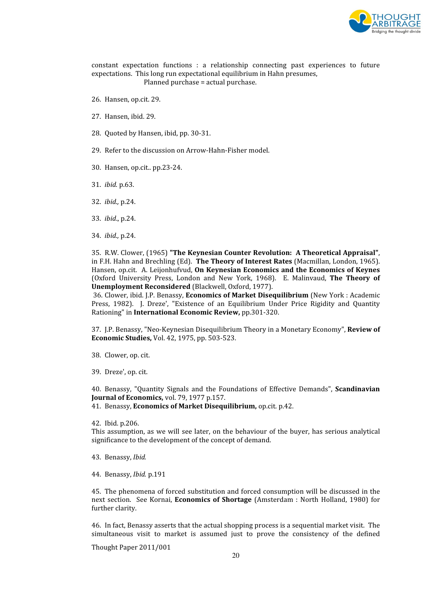

constant expectation functions : a relationship connecting past experiences to future expectations. This long run expectational equilibrium in Hahn presumes, Planned purchase = actual purchase.

- 26. Hansen, op.cit. 29.
- 27. Hansen, ibid. 29.
- 28. Quoted by Hansen, ibid, pp. 30-31.
- 29. Refer to the discussion on Arrow-Hahn-Fisher model.
- 30. Hansen, op.cit.. pp.23-24.
- 31. ibid. p.63.
- 32. ibid., p.24.
- 33. ibid., p.24.
- 34. ibid., p.24.

35. R.W. Clower, (1965) "The Keynesian Counter Revolution: A Theoretical Appraisal", in F.H. Hahn and Brechling (Ed). The Theory of Interest Rates (Macmillan, London, 1965). Hansen, op.cit. A. Leijonhufvud, On Keynesian Economics and the Economics of Keynes (Oxford University Press, London and New York, 1968). E. Malinvaud, The Theory of Unemployment Reconsidered (Blackwell, Oxford, 1977).

 36. Clower, ibid. J.P. Benassy, Economics of Market Disequilibrium (New York : Academic Press, 1982). J. Dreze', "Existence of an Equilibrium Under Price Rigidity and Quantity Rationing" in International Economic Review, pp.301-320.

37. J.P. Benassy, "Neo-Keynesian Disequilibrium Theory in a Monetary Economy", Review of Economic Studies, Vol. 42, 1975, pp. 503-523.

- 38. Clower, op. cit.
- 39. Dreze', op. cit.

40. Benassy, "Quantity Signals and the Foundations of Effective Demands", Scandinavian Journal of Economics, vol. 79, 1977 p.157.

41. Benassy, Economics of Market Disequilibrium, op.cit. p.42.

42. Ibid. p.206.

This assumption, as we will see later, on the behaviour of the buyer, has serious analytical significance to the development of the concept of demand.

43. Benassy, Ibid.

44. Benassy, Ibid. p.191

45. The phenomena of forced substitution and forced consumption will be discussed in the next section. See Kornai, Economics of Shortage (Amsterdam : North Holland, 1980) for further clarity.

46. In fact, Benassy asserts that the actual shopping process is a sequential market visit. The simultaneous visit to market is assumed just to prove the consistency of the defined